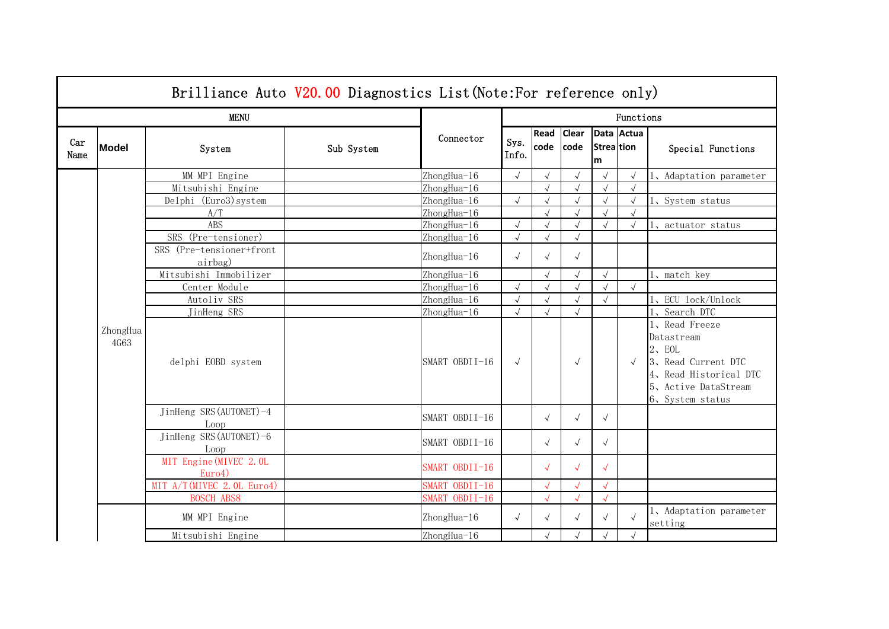|             | Brilliance Auto V20.00 Diagnostics List (Note: For reference only) |                                     |            |                |               |              |                      |                 |            |                                                                                                                                 |  |  |
|-------------|--------------------------------------------------------------------|-------------------------------------|------------|----------------|---------------|--------------|----------------------|-----------------|------------|---------------------------------------------------------------------------------------------------------------------------------|--|--|
|             |                                                                    | <b>MENU</b>                         |            |                | Functions     |              |                      |                 |            |                                                                                                                                 |  |  |
| Car<br>Name | <b>Model</b>                                                       | System                              | Sub System | Connector      | Sys.<br>Info. | Read<br>code | <b>Clear</b><br>code | Strea tion<br>m | Data Actua | Special Functions                                                                                                               |  |  |
|             |                                                                    | MM MPI Engine                       |            | ZhongHua-16    | $\sqrt{ }$    | $\sqrt{ }$   | $\sqrt{ }$           |                 | $\sqrt{ }$ | 1、Adaptation parameter                                                                                                          |  |  |
|             |                                                                    | Mitsubishi Engine                   |            | ZhongHua-16    |               | $\sqrt{ }$   | $\sqrt{ }$           | $\sqrt{ }$      | $\sqrt{ }$ |                                                                                                                                 |  |  |
|             |                                                                    | Delphi (Euro3) system               |            | ZhongHua-16    | $\sqrt{ }$    | $\sqrt{ }$   | $\sqrt{ }$           | $\sqrt{ }$      | $\sqrt{ }$ | 1、System_status                                                                                                                 |  |  |
|             |                                                                    | A/T                                 |            | ZhongHua-16    |               | $\sqrt{ }$   | $\sqrt{2}$           |                 |            |                                                                                                                                 |  |  |
|             |                                                                    | <b>ABS</b>                          |            | ZhongHua-16    |               | $\sqrt{ }$   | $\sqrt{ }$           |                 | $\sqrt{ }$ | 1, actuator status                                                                                                              |  |  |
|             |                                                                    | SRS (Pre-tensioner)                 |            | ZhongHua-16    |               | $\sqrt{}$    | $\sqrt{}$            |                 |            |                                                                                                                                 |  |  |
|             |                                                                    | SRS (Pre-tensioner+front<br>airbag) |            | ZhongHua-16    | $\sqrt{ }$    | $\sqrt{ }$   | $\sqrt{ }$           |                 |            |                                                                                                                                 |  |  |
|             |                                                                    | Mitsubishi Immobilizer              |            | ZhongHua-16    |               | $\sqrt{}$    | $\sqrt{ }$           | $\sqrt{ }$      |            | 1, match key                                                                                                                    |  |  |
|             |                                                                    | Center Module                       |            | ZhongHua-16    |               | $\sqrt{ }$   | $\sqrt{ }$           | $\sqrt{2}$      | $\sqrt{ }$ |                                                                                                                                 |  |  |
|             |                                                                    | Autoliv SRS                         |            | ZhongHua-16    |               | $\sqrt{ }$   | $\sqrt{}$            |                 |            | 1、ECU lock/Unlock                                                                                                               |  |  |
|             |                                                                    | JinHeng SRS                         |            | ZhongHua-16    | $\sqrt{ }$    | $\sqrt{ }$   | $\sqrt{ }$           |                 |            | 1、Search DTC                                                                                                                    |  |  |
|             | ZhongHua<br>4G63                                                   | delphi EOBD system                  |            | SMART OBDII-16 | $\sqrt{ }$    |              | $\sqrt{ }$           |                 | $\sqrt{ }$ | 1、Read Freeze<br>Datastream<br>2. EOL<br>3、Read Current DTC<br>4, Read Historical DTC<br>5、Active DataStream<br>6、System status |  |  |
|             |                                                                    | JinHeng SRS (AUTONET)-4<br>Loop     |            | SMART OBDII-16 |               | $\sqrt{ }$   | $\sqrt{ }$           | $\sqrt{ }$      |            |                                                                                                                                 |  |  |
|             |                                                                    | JinHeng SRS (AUTONET)-6<br>Loop     |            | SMART OBDII-16 |               | $\sqrt{ }$   | $\sqrt{}$            | $\sqrt{ }$      |            |                                                                                                                                 |  |  |
|             |                                                                    | MIT Engine (MIVEC 2.0L<br>Euro4)    |            | SMART OBDII-16 |               | $\sqrt{ }$   | $\sqrt{}$            | $\sqrt{ }$      |            |                                                                                                                                 |  |  |
|             |                                                                    | MIT A/T (MIVEC 2.0L Euro4)          |            | SMART OBDII-16 |               |              | $\sqrt{}$            |                 |            |                                                                                                                                 |  |  |
|             |                                                                    | <b>BOSCH ABS8</b>                   |            | SMART OBDII-16 |               | $\sqrt{}$    | $\sqrt{}$            | $\sqrt{}$       |            |                                                                                                                                 |  |  |
|             |                                                                    | MM MPI Engine                       |            | ZhongHua-16    | $\sqrt{ }$    | $\sqrt{ }$   | $\sqrt{ }$           | $\sqrt{ }$      |            | 1, Adaptation parameter<br>setting                                                                                              |  |  |
|             |                                                                    | Mitsubishi Engine                   |            | ZhongHua-16    |               |              | $\sqrt{}$            |                 | $\sqrt{ }$ |                                                                                                                                 |  |  |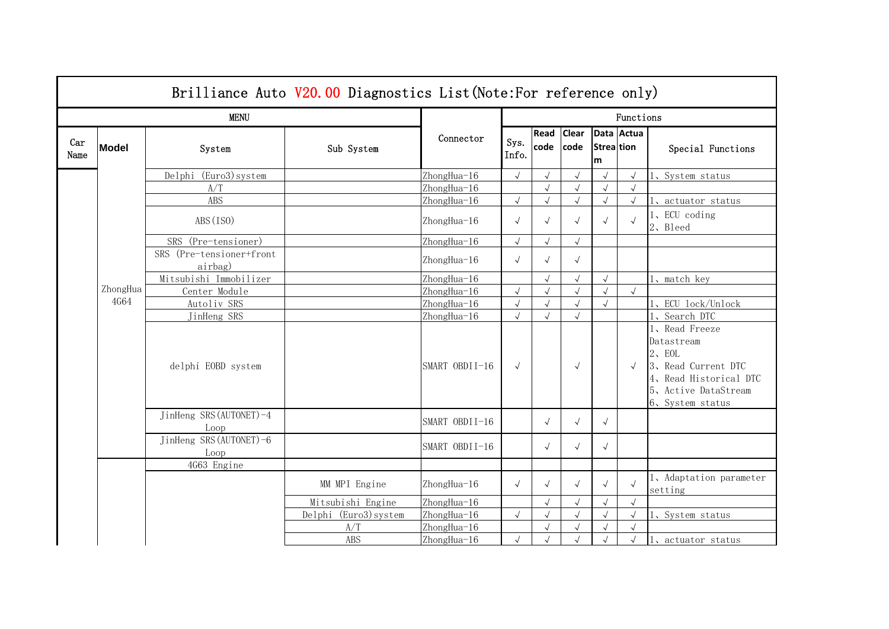|             | Brilliance Auto V20.00 Diagnostics List (Note: For reference only) |                                     |                       |                |               |              |                      |                        |            |                                                                                                                                |  |  |
|-------------|--------------------------------------------------------------------|-------------------------------------|-----------------------|----------------|---------------|--------------|----------------------|------------------------|------------|--------------------------------------------------------------------------------------------------------------------------------|--|--|
|             |                                                                    | <b>MENU</b>                         |                       |                | Functions     |              |                      |                        |            |                                                                                                                                |  |  |
| Car<br>Name | <b>Model</b>                                                       | System                              | Sub System            | Connector      | Sys.<br>Info. | Read<br>code | Clear<br><b>code</b> | <b>Streattion</b><br>m | Data Actua | Special Functions                                                                                                              |  |  |
|             |                                                                    | (Euro3) system<br>Delphi            |                       | ZhongHua-16    | $\sqrt{2}$    | $\sqrt{ }$   | $\sqrt{ }$           | $\sqrt{ }$             |            | 1、System status                                                                                                                |  |  |
|             |                                                                    | A/T                                 |                       | ZhongHua-16    |               | $\sqrt{ }$   | $\sqrt{ }$           | $\sqrt{ }$             | $\sqrt{}$  |                                                                                                                                |  |  |
|             |                                                                    | ABS                                 |                       | ZhongHua-16    | $\sqrt{}$     | $\sqrt{ }$   | $\sqrt{ }$           | $\sqrt{ }$             | $\sqrt{ }$ | 1, actuator status                                                                                                             |  |  |
|             |                                                                    | ABS (ISO)                           |                       | ZhongHua-16    | $\sqrt{ }$    | $\sqrt{ }$   | $\sqrt{ }$           |                        |            | 1、ECU coding<br>2、Bleed                                                                                                        |  |  |
|             |                                                                    | SRS (Pre-tensioner)                 |                       | ZhongHua-16    | $\sqrt{}$     | $\sqrt{ }$   | $\sqrt{ }$           |                        |            |                                                                                                                                |  |  |
|             |                                                                    | SRS (Pre-tensioner+front<br>airbag) |                       | ZhongHua-16    | $\sqrt{ }$    | $\sqrt{ }$   | $\sqrt{ }$           |                        |            |                                                                                                                                |  |  |
|             |                                                                    | Mitsubishi Immobilizer              |                       | ZhongHua-16    |               | $\sqrt{ }$   | $\sqrt{2}$           | $\sqrt{ }$             |            | 1, match key                                                                                                                   |  |  |
|             | ZhongHua                                                           | Center Module                       |                       | ZhongHua-16    | $\sqrt{}$     | $\sqrt{2}$   | $\sqrt{2}$           | $\sqrt{2}$             | $\sqrt{}$  |                                                                                                                                |  |  |
|             | 4G64                                                               | Autoliv SRS                         |                       | ZhongHua-16    | $\sqrt{}$     |              | $\sqrt{2}$           |                        |            | 1、ECU lock/Unlock                                                                                                              |  |  |
|             |                                                                    | JinHeng SRS                         |                       | ZhongHua-16    | $\sqrt{}$     | $\sqrt{ }$   | $\sqrt{ }$           |                        |            | 1、Search DTC                                                                                                                   |  |  |
|             |                                                                    | delphi EOBD system                  |                       | SMART OBDII-16 | $\sqrt{ }$    |              | $\sqrt{ }$           |                        | $\sqrt{ }$ | 1、Read Freeze<br>Datastream<br>2. EOL<br>3、Read Current DTC<br>4、Read Historical DTC<br>5、Active DataStream<br>6、System status |  |  |
|             |                                                                    | JinHeng SRS (AUTONET)-4<br>Loop     |                       | SMART OBDII-16 |               | $\sqrt{ }$   | $\sqrt{ }$           | $\sqrt{ }$             |            |                                                                                                                                |  |  |
|             |                                                                    | JinHeng SRS (AUTONET)-6<br>Loop     |                       | SMART OBDII-16 |               | $\sqrt{ }$   | $\sqrt{ }$           | $\sqrt{ }$             |            |                                                                                                                                |  |  |
|             |                                                                    | 4G63 Engine                         |                       |                |               |              |                      |                        |            |                                                                                                                                |  |  |
|             |                                                                    |                                     | MM MPI Engine         | ZhongHua-16    | $\sqrt{ }$    | $\sqrt{ }$   | $\sqrt{ }$           |                        |            | 1, Adaptation parameter<br>setting                                                                                             |  |  |
|             |                                                                    |                                     | Mitsubishi Engine     | ZhongHua-16    |               |              | $\sqrt{}$            |                        | $\sqrt{ }$ |                                                                                                                                |  |  |
|             |                                                                    |                                     | Delphi (Euro3) system | ZhongHua-16    | $\sqrt{}$     |              | $\sqrt{2}$           |                        | $\sqrt{}$  | 1、System status                                                                                                                |  |  |
|             |                                                                    |                                     | A/T                   | ZhongHua-16    |               |              | $\sqrt{2}$           |                        |            |                                                                                                                                |  |  |
|             |                                                                    |                                     | ABS                   | ZhongHua-16    | $\sqrt{}$     |              | $\sqrt{2}$           |                        | $\sqrt{2}$ | 1、actuator status                                                                                                              |  |  |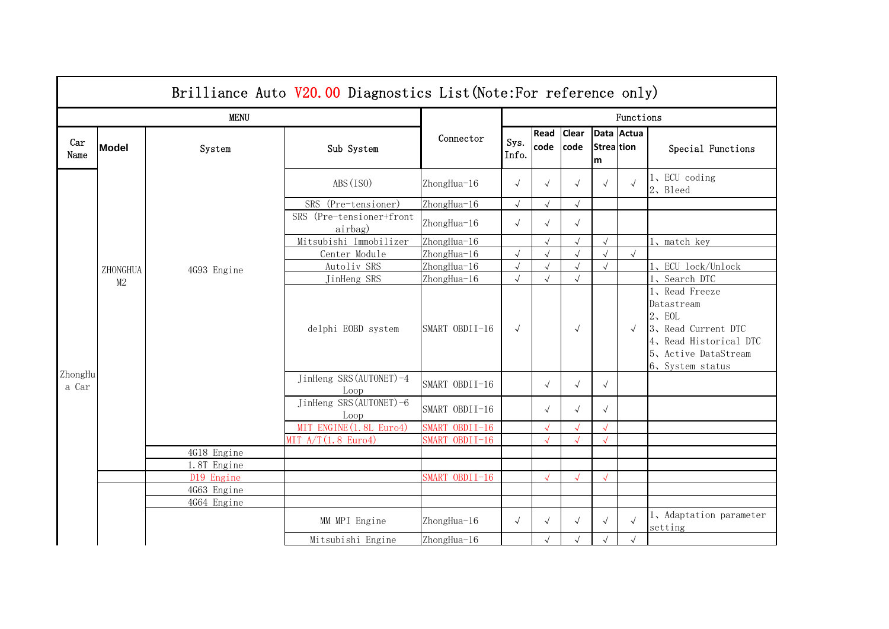|                  | Brilliance Auto V20.00 Diagnostics List (Note: For reference only) |             |                                     |                |               |              |                      |                          |            |                                                                                                                                |  |
|------------------|--------------------------------------------------------------------|-------------|-------------------------------------|----------------|---------------|--------------|----------------------|--------------------------|------------|--------------------------------------------------------------------------------------------------------------------------------|--|
|                  |                                                                    | <b>MENU</b> |                                     | Connector      | Functions     |              |                      |                          |            |                                                                                                                                |  |
| Car<br>Name      | <b>Model</b>                                                       | System      | Sub System                          |                | Sys.<br>Info. | Read<br>code | <b>Clear</b><br>code | <b>Strea</b> tion<br>lm. | Data Actua | Special Functions                                                                                                              |  |
|                  |                                                                    |             | ABS(ISO)                            | ZhongHua-16    | $\sqrt{ }$    | $\sqrt{}$    | $\sqrt{}$            | $\sqrt{}$                |            | 1、ECU coding<br>2、Bleed                                                                                                        |  |
|                  |                                                                    |             | SRS (Pre-tensioner)                 | ZhongHua-16    | $\sqrt{ }$    | $\sqrt{ }$   | $\sqrt{}$            |                          |            |                                                                                                                                |  |
|                  |                                                                    |             | SRS (Pre-tensioner+front<br>airbag) | ZhongHua-16    | $\sqrt{ }$    | $\sqrt{ }$   | $\sqrt{ }$           |                          |            |                                                                                                                                |  |
|                  |                                                                    |             | Mitsubishi Immobilizer              | ZhongHua-16    |               | $\sqrt{ }$   | $\sqrt{}$            | $\sqrt{}$                |            | 1, match key                                                                                                                   |  |
|                  | ZHONGHUA<br>M2                                                     | 4G93 Engine | Center Module                       | ZhongHua-16    |               |              | $\sqrt{}$            | $\sqrt{}$                | $\sqrt{ }$ |                                                                                                                                |  |
|                  |                                                                    |             | Autoliv SRS                         | ZhongHua-16    | $\sqrt{}$     |              | $\sqrt{}$            |                          |            | 1、ECU lock/Unlock                                                                                                              |  |
|                  |                                                                    |             | JinHeng SRS                         | ZhongHua-16    | $\sqrt{ }$    | $\sqrt{}$    | $\sqrt{}$            |                          |            | 1、Search DTC                                                                                                                   |  |
|                  |                                                                    |             | delphi EOBD system                  | SMART OBDII-16 | $\sqrt{ }$    |              | $\sqrt{}$            |                          | $\sqrt{ }$ | 1、Read Freeze<br>Datastream<br>2. EOL<br>3、Read Current DTC<br>4、Read Historical DTC<br>5、Active DataStream<br>6、System status |  |
| ZhongHu<br>a Car |                                                                    |             | JinHeng SRS (AUTONET)-4<br>Loop     | SMART OBDII-16 |               | $\sqrt{ }$   | $\sqrt{}$            | $\sqrt{ }$               |            |                                                                                                                                |  |
|                  |                                                                    |             | JinHeng SRS (AUTONET)-6<br>Loop     | SMART OBDII-16 |               | $\sqrt{ }$   | $\sqrt{}$            | $\sqrt{ }$               |            |                                                                                                                                |  |
|                  |                                                                    |             | MIT ENGINE (1.8L Euro4)             | SMART OBDII-16 |               |              |                      |                          |            |                                                                                                                                |  |
|                  |                                                                    |             | MIT $A/T(1.8 Euro4)$                | SMART OBDII-16 |               | $\sqrt{}$    | $\sqrt{}$            |                          |            |                                                                                                                                |  |
|                  |                                                                    | 4G18 Engine |                                     |                |               |              |                      |                          |            |                                                                                                                                |  |
|                  |                                                                    | 1.8T Engine |                                     |                |               |              |                      |                          |            |                                                                                                                                |  |
|                  |                                                                    | D19 Engine  |                                     | SMART OBDII-16 |               |              | $\sqrt{}$            |                          |            |                                                                                                                                |  |
|                  |                                                                    | 4G63 Engine |                                     |                |               |              |                      |                          |            |                                                                                                                                |  |
|                  |                                                                    | 4G64 Engine |                                     |                |               |              |                      |                          |            |                                                                                                                                |  |
|                  |                                                                    |             | MM MPI Engine                       | ZhongHua-16    | $\sqrt{ }$    | $\sqrt{}$    | $\sqrt{}$            | $\sqrt{}$                |            | 1, Adaptation parameter<br>setting                                                                                             |  |
|                  |                                                                    |             | Mitsubishi Engine                   | ZhongHua-16    |               |              | $\sqrt{}$            |                          | $\sqrt{ }$ |                                                                                                                                |  |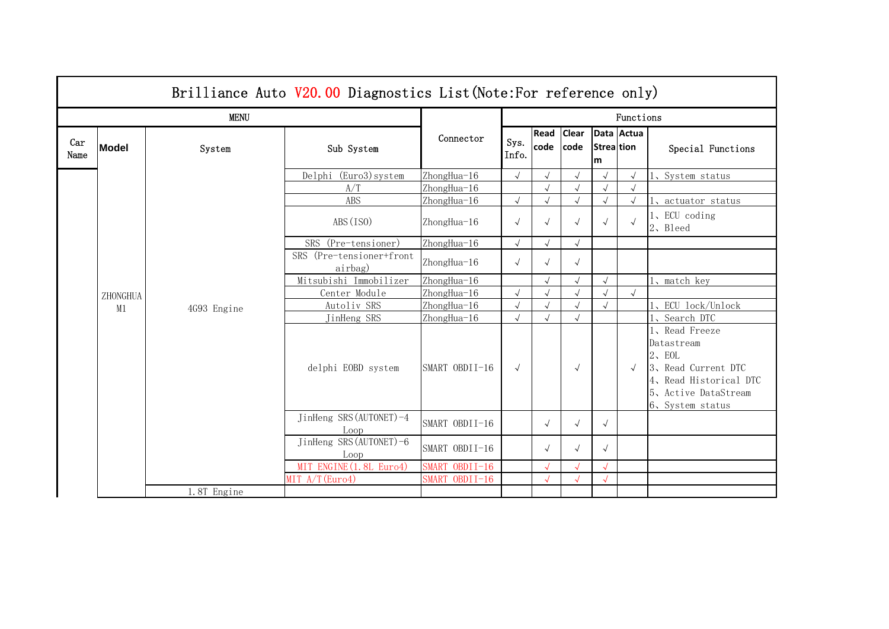|             | Brilliance Auto V20.00 Diagnostics List (Note: For reference only) |             |                                     |                |               |              |                      |                 |            |                                                                                                                                    |  |  |
|-------------|--------------------------------------------------------------------|-------------|-------------------------------------|----------------|---------------|--------------|----------------------|-----------------|------------|------------------------------------------------------------------------------------------------------------------------------------|--|--|
|             |                                                                    | <b>MENU</b> |                                     |                | Functions     |              |                      |                 |            |                                                                                                                                    |  |  |
| Car<br>Name | <b>Model</b>                                                       | System      | Sub System                          | Connector      | Sys.<br>Info. | Read<br>code | <b>Clear</b><br>code | Strea tion<br>m | Data Actua | Special Functions                                                                                                                  |  |  |
|             |                                                                    |             | Delphi (Euro3) system               | ZhongHua-16    | $\sqrt{ }$    | $\sqrt{ }$   | $\sqrt{ }$           | $\sqrt{ }$      |            | 1、System status                                                                                                                    |  |  |
|             |                                                                    |             | A/T                                 | ZhongHua-16    |               | $\sqrt{}$    | $\sqrt{2}$           | $\sqrt{ }$      |            |                                                                                                                                    |  |  |
|             |                                                                    |             | ABS                                 | ZhongHua-16    | $\sqrt{ }$    |              | $\sqrt{ }$           | $\sqrt{ }$      |            | 1, actuator status                                                                                                                 |  |  |
|             |                                                                    |             | ABS (ISO)                           | ZhongHua-16    | $\sqrt{}$     | $\sqrt{}$    | $\sqrt{}$            |                 |            | 1、ECU coding<br>2、Bleed                                                                                                            |  |  |
|             |                                                                    |             | SRS (Pre-tensioner)                 | ZhongHua-16    | $\sqrt{ }$    | $\sqrt{}$    | $\sqrt{2}$           |                 |            |                                                                                                                                    |  |  |
|             |                                                                    |             | SRS (Pre-tensioner+front<br>airbag) | ZhongHua-16    | $\sqrt{ }$    | $\sqrt{}$    | $\sqrt{ }$           |                 |            |                                                                                                                                    |  |  |
|             |                                                                    |             | Mitsubishi Immobilizer              | ZhongHua-16    |               |              | $\sqrt{}$            | $\sqrt{ }$      |            | 1, match key                                                                                                                       |  |  |
|             | ZHONGHUA                                                           | 4G93 Engine | Center Module                       | ZhongHua-16    | $\sqrt{ }$    |              | $\sqrt{}$            |                 | $\sqrt{ }$ |                                                                                                                                    |  |  |
|             | M1                                                                 |             | Autoliv SRS                         | ZhongHua-16    | $\sqrt{ }$    |              | $\sqrt{}$            |                 |            | 1、ECU lock/Unlock                                                                                                                  |  |  |
|             |                                                                    |             | JinHeng SRS                         | ZhongHua-16    | $\sqrt{ }$    | $\sqrt{ }$   | $\sqrt{}$            |                 |            | 1、Search DTC                                                                                                                       |  |  |
|             |                                                                    |             | delphi EOBD system                  | SMART OBDII-16 | $\sqrt{ }$    |              | $\sqrt{ }$           |                 | $\sqrt{ }$ | 1、Read Freeze<br>Datastream<br>$2$ , EOL<br>3、Read Current DTC<br>4, Read Historical DTC<br>5、Active DataStream<br>6、System status |  |  |
|             |                                                                    |             | JinHeng SRS (AUTONET)-4<br>Loop     | SMART OBDII-16 |               | $\sqrt{ }$   | $\sqrt{}$            | $\sqrt{ }$      |            |                                                                                                                                    |  |  |
|             |                                                                    |             | JinHeng SRS (AUTONET)-6<br>Loop     | SMART OBDII-16 |               | $\sqrt{ }$   | $\sqrt{ }$           | $\sqrt{ }$      |            |                                                                                                                                    |  |  |
|             |                                                                    |             | MIT ENGINE (1.8L Euro4)             | SMART OBDII-16 |               |              |                      |                 |            |                                                                                                                                    |  |  |
|             |                                                                    |             | MIT A/T(Euro4)                      | SMART OBDII-16 |               |              |                      |                 |            |                                                                                                                                    |  |  |
|             |                                                                    | 1.8T Engine |                                     |                |               |              |                      |                 |            |                                                                                                                                    |  |  |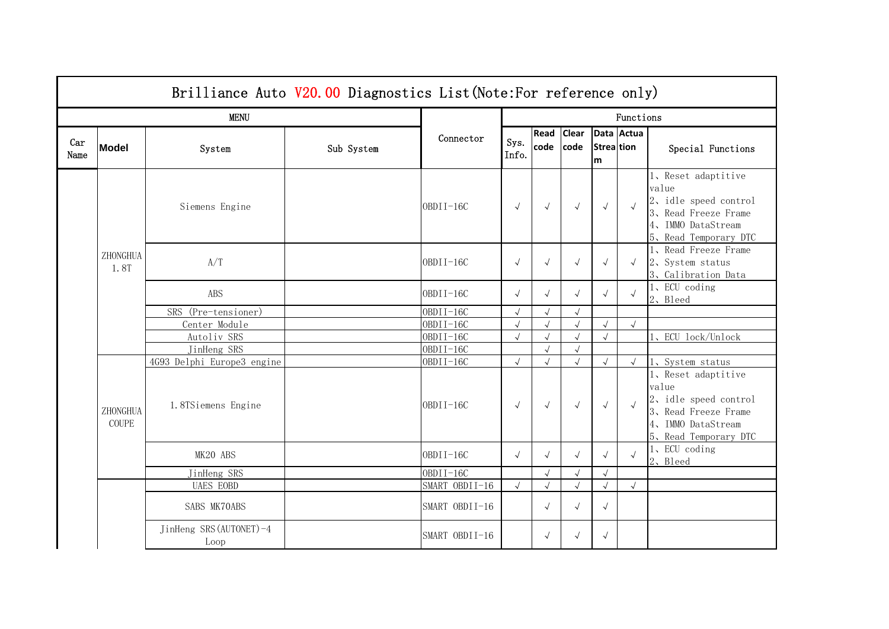|             | Brilliance Auto V20.00 Diagnostics List (Note: For reference only) |                                 |            |                |               |              |                      |                        |            |                                                                                                                          |  |  |
|-------------|--------------------------------------------------------------------|---------------------------------|------------|----------------|---------------|--------------|----------------------|------------------------|------------|--------------------------------------------------------------------------------------------------------------------------|--|--|
|             |                                                                    | <b>MENU</b>                     |            |                | Functions     |              |                      |                        |            |                                                                                                                          |  |  |
| Car<br>Name | Model                                                              | System                          | Sub System | Connector      | Sys.<br>Info. | Read<br>code | <b>Clear</b><br>code | <b>Strea</b> tion<br>m | Data Actua | Special Functions                                                                                                        |  |  |
|             |                                                                    | Siemens Engine                  |            | OBDII-16C      | $\sqrt{ }$    | $\sqrt{ }$   | $\sqrt{ }$           | $\sqrt{ }$             |            | 1、Reset adaptitive<br>value<br>2, idle speed control<br>3、Read Freeze Frame<br>4、IMMO DataStream<br>5、Read Temporary DTC |  |  |
|             | ZHONGHUA<br>1.8T                                                   | A/T                             |            | OBDII-16C      | $\sqrt{ }$    | $\sqrt{ }$   | $\sqrt{}$            | $\sqrt{ }$             | $\sqrt{ }$ | 1、Read Freeze Frame<br>2、System status<br>3、Calibration Data                                                             |  |  |
|             |                                                                    | ABS                             |            | OBDII-16C      | $\sqrt{ }$    | $\sqrt{ }$   | $\sqrt{2}$           | $\sqrt{ }$             |            | 1、ECU coding<br>2、Bleed                                                                                                  |  |  |
|             |                                                                    | SRS (Pre-tensioner)             |            | $OBDII-16C$    |               | $\sqrt{}$    |                      |                        |            |                                                                                                                          |  |  |
|             |                                                                    | Center Module                   |            | $OBDII-16C$    |               | $\sqrt{ }$   | $\sqrt{}$            |                        | $\sqrt{ }$ |                                                                                                                          |  |  |
|             |                                                                    | Autoliv SRS                     |            | OBDII-16C      |               | $\sqrt{}$    | $\sqrt{ }$           |                        |            | ECU lock/Unlock                                                                                                          |  |  |
|             |                                                                    | JinHeng SRS                     |            | $OBDII-16C$    |               | $\sqrt{ }$   | $\sqrt{ }$           |                        |            |                                                                                                                          |  |  |
|             |                                                                    | 4G93 Delphi Europe3 engine      |            | $OBDII-16C$    | $\sqrt{ }$    | $\sqrt{ }$   | $\sqrt{}$            |                        | $\sqrt{ }$ | 1、System status                                                                                                          |  |  |
|             | ZHONGHUA<br>COUPE                                                  | 1.8TSiemens Engine              |            | OBDII-16C      | $\sqrt{ }$    | $\sqrt{ }$   | $\sqrt{ }$           | $\sqrt{ }$             | $\sqrt{ }$ | 1、Reset adaptitive<br>value<br>2, idle speed control<br>3、Read Freeze Frame<br>4、IMMO DataStream<br>5、Read Temporary DTC |  |  |
|             |                                                                    | MK20 ABS                        |            | $OBDII-16C$    | $\sqrt{ }$    | $\sqrt{ }$   | $\sqrt{ }$           | $\sqrt{ }$             |            | 1、ECU coding<br>2、Bleed                                                                                                  |  |  |
|             |                                                                    | JinHeng SRS                     |            | OBDII-16C      |               | $\sqrt{ }$   |                      |                        |            |                                                                                                                          |  |  |
|             |                                                                    | <b>UAES EOBD</b>                |            | SMART OBDII-16 | $\sqrt{ }$    | $\sqrt{2}$   | $\sqrt{}$            | $\sqrt{2}$             | $\sqrt{ }$ |                                                                                                                          |  |  |
|             |                                                                    | SABS MK70ABS                    |            | SMART OBDII-16 |               | $\sqrt{ }$   | $\sqrt{ }$           | $\sqrt{ }$             |            |                                                                                                                          |  |  |
|             |                                                                    | JinHeng SRS (AUTONET)-4<br>Loop |            | SMART OBDII-16 |               | $\sqrt{}$    | $\sqrt{ }$           | $\sqrt{}$              |            |                                                                                                                          |  |  |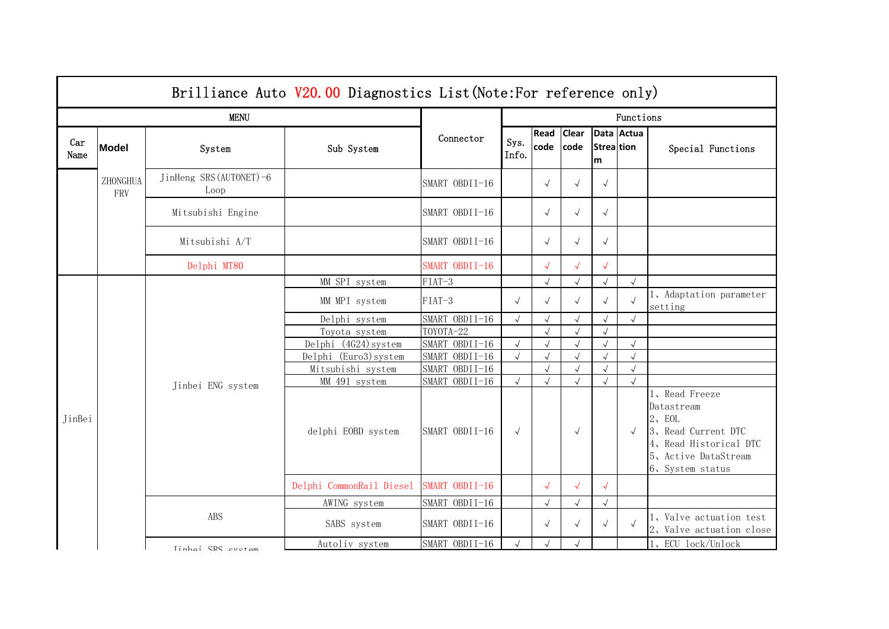|             | Brilliance Auto V20.00 Diagnostics List (Note: For reference only) |                                 |                                     |                                  |                          |                          |                         |                        |                                    |                                                                                                                                |  |  |
|-------------|--------------------------------------------------------------------|---------------------------------|-------------------------------------|----------------------------------|--------------------------|--------------------------|-------------------------|------------------------|------------------------------------|--------------------------------------------------------------------------------------------------------------------------------|--|--|
|             |                                                                    | <b>MENU</b>                     |                                     |                                  | Functions                |                          |                         |                        |                                    |                                                                                                                                |  |  |
| Car<br>Name | <b>Model</b>                                                       | System                          | Sub System                          | Connector                        | Sys.<br>Info.            | Read<br>code code        | <b>Clear</b>            | <b>Strea</b> tion<br>m | Data Actua                         | Special Functions                                                                                                              |  |  |
|             | ZHONGHUA<br>FRV                                                    | JinHeng SRS (AUTONET)-6<br>Loop |                                     | SMART OBDII-16                   |                          | $\sqrt{ }$               | $\sqrt{2}$              | $\sqrt{ }$             |                                    |                                                                                                                                |  |  |
|             |                                                                    | Mitsubishi Engine               |                                     | SMART OBDII-16                   |                          | $\sqrt{ }$               | $\sqrt{}$               | $\sqrt{ }$             |                                    |                                                                                                                                |  |  |
|             |                                                                    | Mitsubishi A/T                  |                                     | SMART OBDII-16                   |                          | $\sqrt{ }$               | $\sqrt{ }$              | $\sqrt{ }$             |                                    |                                                                                                                                |  |  |
|             |                                                                    | Delphi MT80                     |                                     | SMART OBDII-16                   |                          | $\sqrt{ }$               | $\sqrt{}$               | $\sqrt{}$              |                                    |                                                                                                                                |  |  |
|             |                                                                    |                                 | MM SPI system                       | FIAT-3                           |                          | $\sqrt{ }$               | $\sqrt{ }$              |                        | $\sqrt{ }$                         |                                                                                                                                |  |  |
|             |                                                                    | MM MPI system                   | $FIAT-3$                            | $\sqrt{ }$                       | $\sqrt{ }$               | $\sqrt{}$                | $\sqrt{ }$              | $\sqrt{ }$             | 1, Adaptation parameter<br>setting |                                                                                                                                |  |  |
|             |                                                                    |                                 | Delphi system                       | SMART OBDII-16                   | $\sqrt{ }$               | $\sqrt{}$                | $\sqrt{}$               | $\sqrt{2}$             | $\sqrt{ }$                         |                                                                                                                                |  |  |
|             |                                                                    | Toyota system                   | TOYOTA-22                           |                                  | $\sqrt{ }$               | $\sqrt{ }$               | $\sqrt{ }$              |                        |                                    |                                                                                                                                |  |  |
|             |                                                                    | Delphi (4G24) system            | SMART OBDII-16                      | $\sqrt{ }$                       | $\sqrt{ }$               | $\sqrt{}$                | $\sqrt{ }$              | $\sqrt{ }$             |                                    |                                                                                                                                |  |  |
|             |                                                                    |                                 | Delphi (Euro3) system               | SMART OBDII-16                   | $\sqrt{ }$               | $\sqrt{ }$               | $\sqrt{}$               |                        | $\sqrt{ }$                         |                                                                                                                                |  |  |
|             |                                                                    | Jinbei ENG system               | Mitsubishi system                   | SMART OBDII-16                   |                          | $\sqrt{ }$<br>$\sqrt{ }$ | $\sqrt{ }$              |                        | $\sqrt{ }$                         |                                                                                                                                |  |  |
| JinBei      |                                                                    |                                 | MM 491 system<br>delphi EOBD system | SMART OBDII-16<br>SMART OBDII-16 | $\sqrt{ }$<br>$\sqrt{ }$ |                          | $\sqrt{}$<br>$\sqrt{ }$ |                        | $\sqrt{ }$<br>$\sqrt{ }$           | 1、Read Freeze<br>Datastream<br>2. EOL<br>3、Read Current DTC<br>4、Read Historical DTC<br>5、Active DataStream<br>6、System status |  |  |
|             |                                                                    |                                 | Delphi CommonRail Diesel            | SMART OBDII-16                   |                          | $\sqrt{ }$               | $\sqrt{}$               | $\sqrt{ }$             |                                    |                                                                                                                                |  |  |
|             |                                                                    |                                 | AWING system                        | SMART OBDII-16                   |                          | $\sqrt{}$                | $\sqrt{}$               |                        |                                    |                                                                                                                                |  |  |
|             |                                                                    | ABS                             | SABS system                         | SMART OBDII-16                   |                          | $\sqrt{ }$               | $\sqrt{ }$              | $\sqrt{}$              |                                    | 1, Valve actuation test<br>2, Valve actuation close                                                                            |  |  |
|             |                                                                    | Tinhoi CRS ovetom               | Autoliv system                      | SMART OBDII-16                   |                          |                          | $\sqrt{ }$              |                        |                                    | 1、ECU lock/Unlock                                                                                                              |  |  |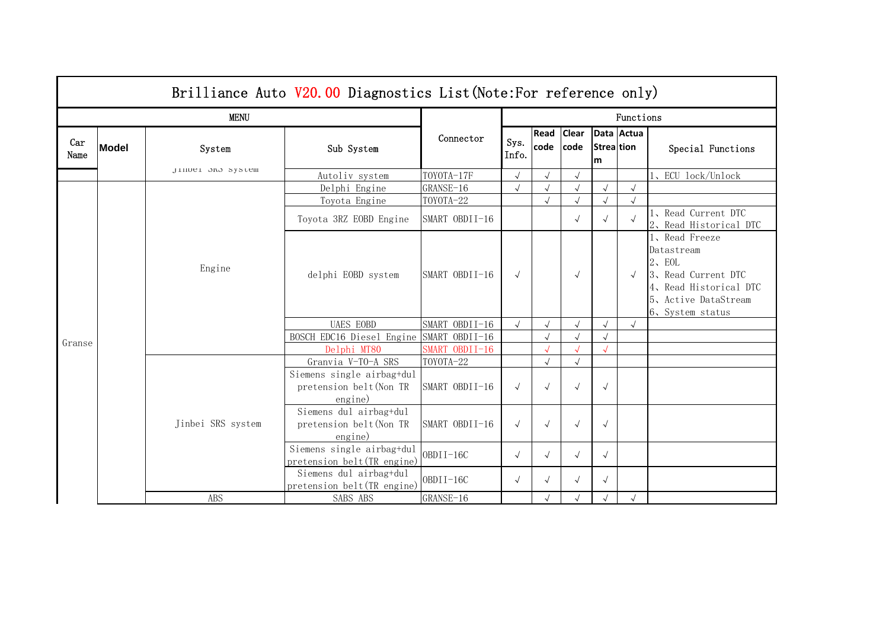|             | Brilliance Auto V20.00 Diagnostics List (Note: For reference only) |                   |                                                                 |                |               |              |                      |                        |            |                                                                                                                                      |  |  |
|-------------|--------------------------------------------------------------------|-------------------|-----------------------------------------------------------------|----------------|---------------|--------------|----------------------|------------------------|------------|--------------------------------------------------------------------------------------------------------------------------------------|--|--|
|             |                                                                    | <b>MENU</b>       |                                                                 |                | Functions     |              |                      |                        |            |                                                                                                                                      |  |  |
| Car<br>Name | <b>Model</b>                                                       | System            | Sub System                                                      | Connector      | Sys.<br>Info. | Read<br>code | <b>Clear</b><br>code | <b>Strealtion</b><br>m | Data Actua | Special Functions                                                                                                                    |  |  |
|             |                                                                    | JINDE1 OND SYSTEM | Autoliv_system                                                  | TOYOTA-17F     | $\sqrt{}$     |              | $\sqrt{ }$           |                        |            | . ECU lock/Unlock                                                                                                                    |  |  |
|             |                                                                    |                   | Delphi Engine                                                   | GRANSE-16      |               |              | $\sqrt{ }$           |                        | $\sqrt{ }$ |                                                                                                                                      |  |  |
|             |                                                                    |                   | Toyota Engine                                                   | TOYOTA-22      |               | $\sqrt{}$    | $\sqrt{}$            |                        | $\sqrt{}$  |                                                                                                                                      |  |  |
|             |                                                                    |                   | Toyota 3RZ EOBD Engine                                          | SMART OBDII-16 |               |              | $\sqrt{ }$           |                        |            | 1、Read Current DTC<br>2、Read Historical DTC                                                                                          |  |  |
|             |                                                                    | Engine            | delphi EOBD system                                              | SMART OBDII-16 | $\sqrt{ }$    |              | $\sqrt{ }$           |                        | $\sqrt{ }$ | 1、Read Freeze<br>Datastream<br>$2$ , EOL<br>3, Read Current DTC<br>4, Read Historical DTC<br>5, Active DataStream<br>6、System status |  |  |
|             |                                                                    |                   | <b>UAES EOBD</b>                                                | SMART OBDII-16 | $\sqrt{2}$    | $\sqrt{ }$   | $\sqrt{ }$           |                        | $\sqrt{ }$ |                                                                                                                                      |  |  |
| Granse      |                                                                    |                   | BOSCH EDC16 Diesel Engine                                       | SMART OBDII-16 |               | $\sqrt{}$    | $\sqrt{}$            |                        |            |                                                                                                                                      |  |  |
|             |                                                                    |                   | Delphi MT80                                                     | SMART OBDII-16 |               |              |                      |                        |            |                                                                                                                                      |  |  |
|             |                                                                    |                   | Granvia V-TO-A SRS                                              | TOYOTA-22      |               | $\sqrt{}$    | $\sqrt{ }$           |                        |            |                                                                                                                                      |  |  |
|             | Jinbei SRS system                                                  |                   | Siemens single airbag+dul<br>pretension belt (Non TR<br>engine) | SMART OBDII-16 | $\sqrt{ }$    |              | $\sqrt{}$            | $\sqrt{ }$             |            |                                                                                                                                      |  |  |
|             |                                                                    |                   | Siemens dul airbag+dul<br>pretension belt (Non TR<br>engine)    | SMART OBDII-16 | $\sqrt{ }$    | $\sqrt{ }$   | $\sqrt{ }$           | $\sqrt{}$              |            |                                                                                                                                      |  |  |
|             |                                                                    |                   | Siemens single airbag+dul<br>pretension belt (TR engine)        | OBDII-16C      | $\sqrt{ }$    | $\sqrt{ }$   | $\sqrt{ }$           | $\sqrt{ }$             |            |                                                                                                                                      |  |  |
|             |                                                                    |                   | Siemens dul airbag+dul<br>pretension belt (TR engine)           | $OBDII-16C$    | $\sqrt{ }$    |              | $\checkmark$         | $\sqrt{}$              |            |                                                                                                                                      |  |  |
|             |                                                                    | <b>ABS</b>        | SABS ABS                                                        | GRANSE-16      |               |              | $\sqrt{ }$           | $\sqrt{}$              | $\sqrt{ }$ |                                                                                                                                      |  |  |